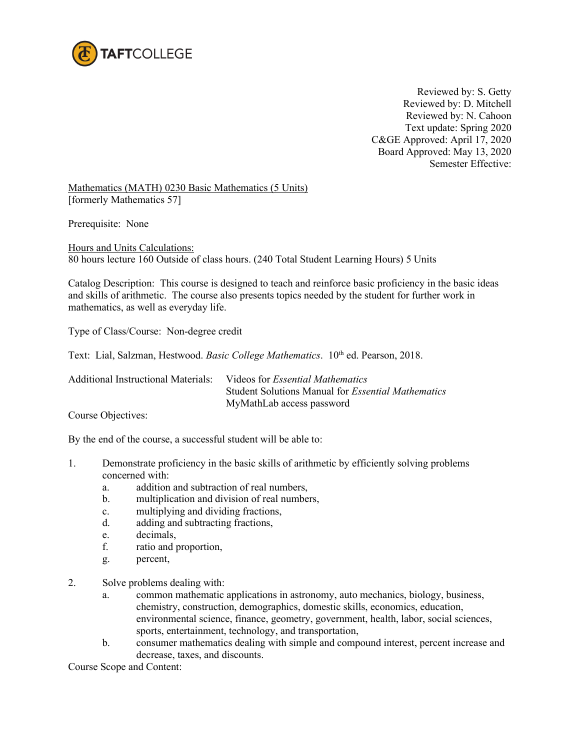

 Reviewed by: S. Getty Reviewed by: D. Mitchell Reviewed by: N. Cahoon Text update: Spring 2020 C&GE Approved: April 17, 2020 Board Approved: May 13, 2020 Semester Effective:

Mathematics (MATH) 0230 Basic Mathematics (5 Units) [formerly Mathematics 57]

Prerequisite: None

Hours and Units Calculations: 80 hours lecture 160 Outside of class hours. (240 Total Student Learning Hours) 5 Units

Catalog Description: This course is designed to teach and reinforce basic proficiency in the basic ideas and skills of arithmetic. The course also presents topics needed by the student for further work in mathematics, as well as everyday life.

Type of Class/Course: Non-degree credit

Text: Lial, Salzman, Hestwood. *Basic College Mathematics*. 10<sup>th</sup> ed. Pearson, 2018.

| Additional Instructional Materials: | Videos for <i>Essential Mathematics</i>                   |
|-------------------------------------|-----------------------------------------------------------|
|                                     | Student Solutions Manual for <i>Essential Mathematics</i> |
|                                     | MyMathLab access password                                 |

Course Objectives:

By the end of the course, a successful student will be able to:

- 1. Demonstrate proficiency in the basic skills of arithmetic by efficiently solving problems concerned with:
	- a. addition and subtraction of real numbers,
	- b. multiplication and division of real numbers,
	- c. multiplying and dividing fractions,
	- d. adding and subtracting fractions,
	- e. decimals,
	- f. ratio and proportion,
	- g. percent,
- 2. Solve problems dealing with:
	- a. common mathematic applications in astronomy, auto mechanics, biology, business, chemistry, construction, demographics, domestic skills, economics, education, environmental science, finance, geometry, government, health, labor, social sciences, sports, entertainment, technology, and transportation,
	- b. consumer mathematics dealing with simple and compound interest, percent increase and decrease, taxes, and discounts.

Course Scope and Content: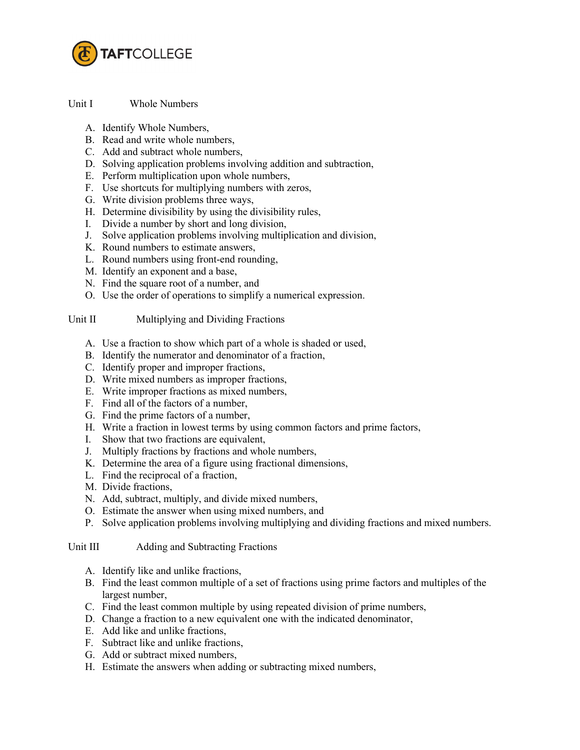

Unit I Whole Numbers

- A. Identify Whole Numbers,
- B. Read and write whole numbers,
- C. Add and subtract whole numbers,
- D. Solving application problems involving addition and subtraction,
- E. Perform multiplication upon whole numbers,
- F. Use shortcuts for multiplying numbers with zeros,
- G. Write division problems three ways,
- H. Determine divisibility by using the divisibility rules,
- I. Divide a number by short and long division,
- J. Solve application problems involving multiplication and division,
- K. Round numbers to estimate answers,
- L. Round numbers using front-end rounding,
- M. Identify an exponent and a base,
- N. Find the square root of a number, and
- O. Use the order of operations to simplify a numerical expression.

## Unit II Multiplying and Dividing Fractions

- A. Use a fraction to show which part of a whole is shaded or used,
- B. Identify the numerator and denominator of a fraction,
- C. Identify proper and improper fractions,
- D. Write mixed numbers as improper fractions,
- E. Write improper fractions as mixed numbers,
- F. Find all of the factors of a number,
- G. Find the prime factors of a number,
- H. Write a fraction in lowest terms by using common factors and prime factors,
- I. Show that two fractions are equivalent,
- J. Multiply fractions by fractions and whole numbers,
- K. Determine the area of a figure using fractional dimensions,
- L. Find the reciprocal of a fraction,
- M. Divide fractions,
- N. Add, subtract, multiply, and divide mixed numbers,
- O. Estimate the answer when using mixed numbers, and
- P. Solve application problems involving multiplying and dividing fractions and mixed numbers.

Unit III Adding and Subtracting Fractions

- A. Identify like and unlike fractions,
- B. Find the least common multiple of a set of fractions using prime factors and multiples of the largest number,
- C. Find the least common multiple by using repeated division of prime numbers,
- D. Change a fraction to a new equivalent one with the indicated denominator,
- E. Add like and unlike fractions,
- F. Subtract like and unlike fractions,
- G. Add or subtract mixed numbers,
- H. Estimate the answers when adding or subtracting mixed numbers,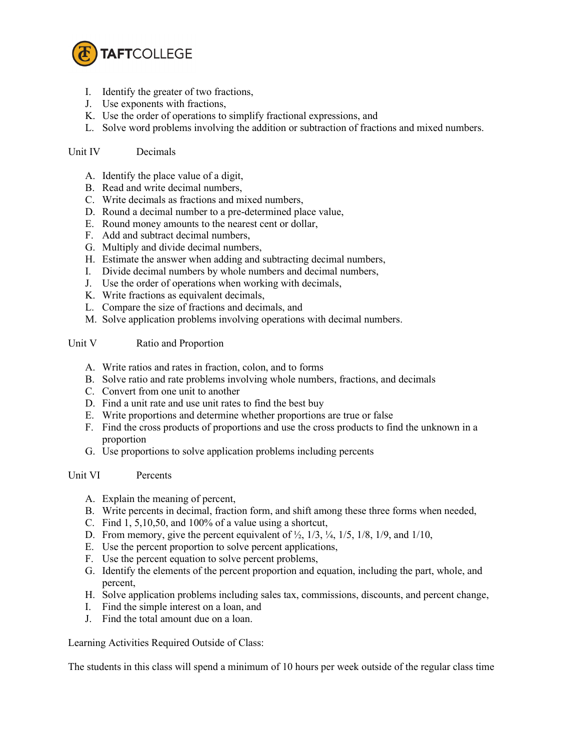

- I. Identify the greater of two fractions,
- J. Use exponents with fractions,
- K. Use the order of operations to simplify fractional expressions, and
- L. Solve word problems involving the addition or subtraction of fractions and mixed numbers.

## Unit IV Decimals

- A. Identify the place value of a digit,
- B. Read and write decimal numbers,
- C. Write decimals as fractions and mixed numbers,
- D. Round a decimal number to a pre-determined place value,
- E. Round money amounts to the nearest cent or dollar,
- F. Add and subtract decimal numbers,
- G. Multiply and divide decimal numbers,
- H. Estimate the answer when adding and subtracting decimal numbers,
- I. Divide decimal numbers by whole numbers and decimal numbers,
- J. Use the order of operations when working with decimals,
- K. Write fractions as equivalent decimals,
- L. Compare the size of fractions and decimals, and
- M. Solve application problems involving operations with decimal numbers.

### Unit V Ratio and Proportion

- A. Write ratios and rates in fraction, colon, and to forms
- B. Solve ratio and rate problems involving whole numbers, fractions, and decimals
- C. Convert from one unit to another
- D. Find a unit rate and use unit rates to find the best buy
- E. Write proportions and determine whether proportions are true or false
- F. Find the cross products of proportions and use the cross products to find the unknown in a proportion
- G. Use proportions to solve application problems including percents

#### Unit VI Percents

- A. Explain the meaning of percent,
- B. Write percents in decimal, fraction form, and shift among these three forms when needed,
- C. Find 1, 5,10,50, and 100% of a value using a shortcut,
- D. From memory, give the percent equivalent of  $\frac{1}{2}$ ,  $\frac{1}{3}$ ,  $\frac{1}{4}$ ,  $\frac{1}{5}$ ,  $\frac{1}{8}$ ,  $\frac{1}{9}$ , and  $\frac{1}{10}$ ,
- E. Use the percent proportion to solve percent applications,
- F. Use the percent equation to solve percent problems,
- G. Identify the elements of the percent proportion and equation, including the part, whole, and percent,
- H. Solve application problems including sales tax, commissions, discounts, and percent change,
- I. Find the simple interest on a loan, and
- J. Find the total amount due on a loan.

Learning Activities Required Outside of Class:

The students in this class will spend a minimum of 10 hours per week outside of the regular class time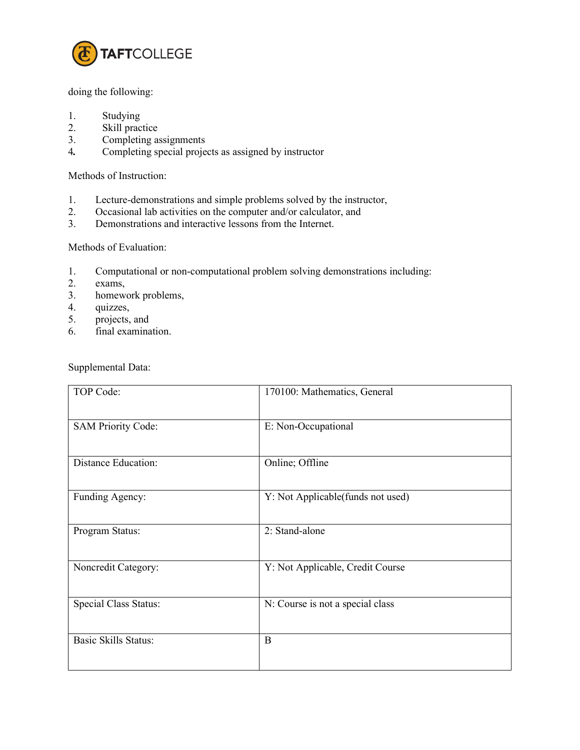

## doing the following:

- 1. Studying
- 2. Skill practice
- 3. Completing assignments
- 4*.* Completing special projects as assigned by instructor

Methods of Instruction:

- 1. Lecture-demonstrations and simple problems solved by the instructor,
- 2. Occasional lab activities on the computer and/or calculator, and
- 3. Demonstrations and interactive lessons from the Internet.

# Methods of Evaluation:

- 1. Computational or non-computational problem solving demonstrations including:
- 2. exams,
- 3. homework problems,
- 4. quizzes,<br>5. projects,
- projects, and
- 6. final examination.

Supplemental Data:

| TOP Code:                   | 170100: Mathematics, General      |
|-----------------------------|-----------------------------------|
| <b>SAM Priority Code:</b>   | E: Non-Occupational               |
| <b>Distance Education:</b>  | Online; Offline                   |
| Funding Agency:             | Y: Not Applicable(funds not used) |
| Program Status:             | 2: Stand-alone                    |
| Noncredit Category:         | Y: Not Applicable, Credit Course  |
| Special Class Status:       | N: Course is not a special class  |
| <b>Basic Skills Status:</b> | B                                 |